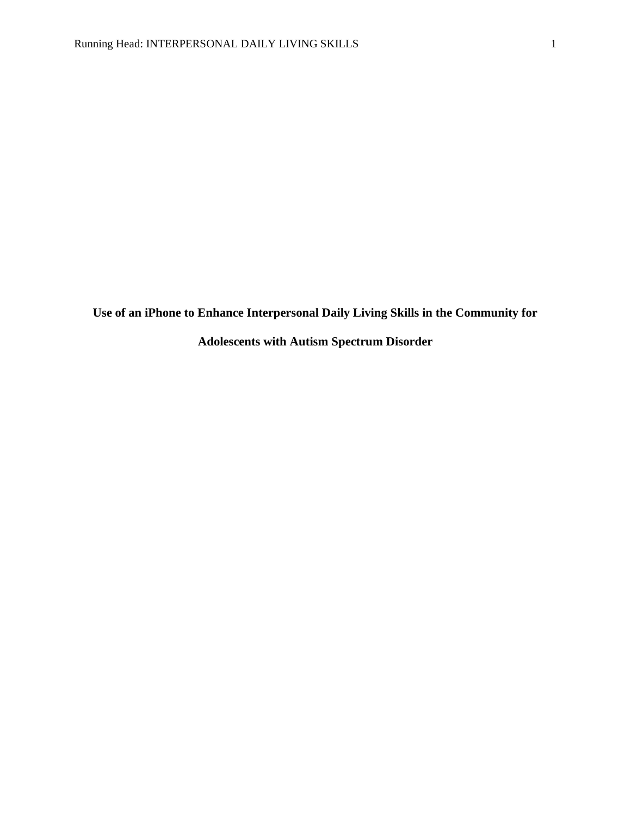**Use of an iPhone to Enhance Interpersonal Daily Living Skills in the Community for** 

**Adolescents with Autism Spectrum Disorder**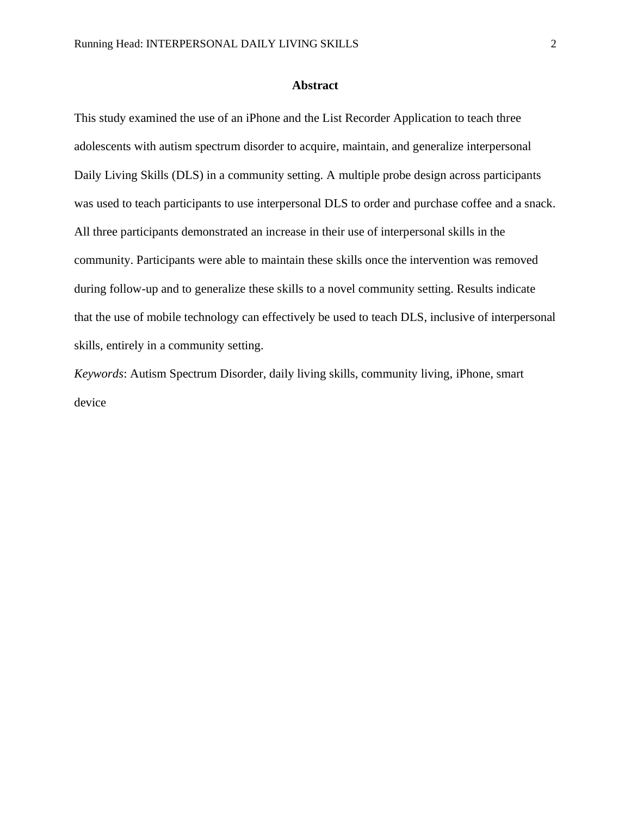# **Abstract**

This study examined the use of an iPhone and the List Recorder Application to teach three adolescents with autism spectrum disorder to acquire, maintain, and generalize interpersonal Daily Living Skills (DLS) in a community setting. A multiple probe design across participants was used to teach participants to use interpersonal DLS to order and purchase coffee and a snack. All three participants demonstrated an increase in their use of interpersonal skills in the community. Participants were able to maintain these skills once the intervention was removed during follow-up and to generalize these skills to a novel community setting. Results indicate that the use of mobile technology can effectively be used to teach DLS, inclusive of interpersonal skills, entirely in a community setting.

*Keywords*: Autism Spectrum Disorder, daily living skills, community living, iPhone, smart device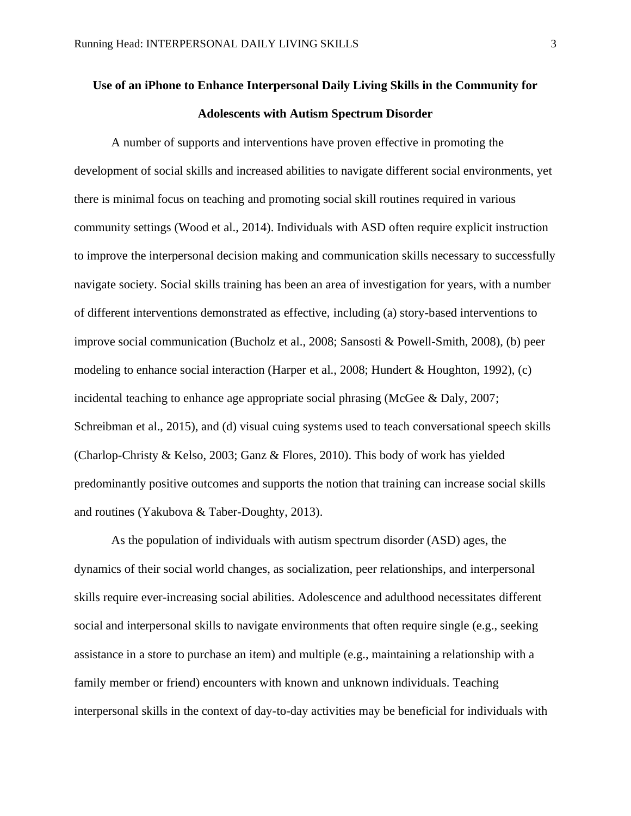# **Use of an iPhone to Enhance Interpersonal Daily Living Skills in the Community for Adolescents with Autism Spectrum Disorder**

A number of supports and interventions have proven effective in promoting the development of social skills and increased abilities to navigate different social environments, yet there is minimal focus on teaching and promoting social skill routines required in various community settings (Wood et al., 2014). Individuals with ASD often require explicit instruction to improve the interpersonal decision making and communication skills necessary to successfully navigate society. Social skills training has been an area of investigation for years, with a number of different interventions demonstrated as effective, including (a) story-based interventions to improve social communication (Bucholz et al., 2008; Sansosti & Powell-Smith, 2008), (b) peer modeling to enhance social interaction (Harper et al., 2008; Hundert & Houghton, 1992), (c) incidental teaching to enhance age appropriate social phrasing (McGee & Daly, 2007; Schreibman et al., 2015), and (d) visual cuing systems used to teach conversational speech skills (Charlop-Christy & Kelso, 2003; Ganz & Flores, 2010). This body of work has yielded predominantly positive outcomes and supports the notion that training can increase social skills and routines (Yakubova & Taber-Doughty, 2013).

As the population of individuals with autism spectrum disorder (ASD) ages, the dynamics of their social world changes, as socialization, peer relationships, and interpersonal skills require ever-increasing social abilities. Adolescence and adulthood necessitates different social and interpersonal skills to navigate environments that often require single (e.g., seeking assistance in a store to purchase an item) and multiple (e.g., maintaining a relationship with a family member or friend) encounters with known and unknown individuals. Teaching interpersonal skills in the context of day-to-day activities may be beneficial for individuals with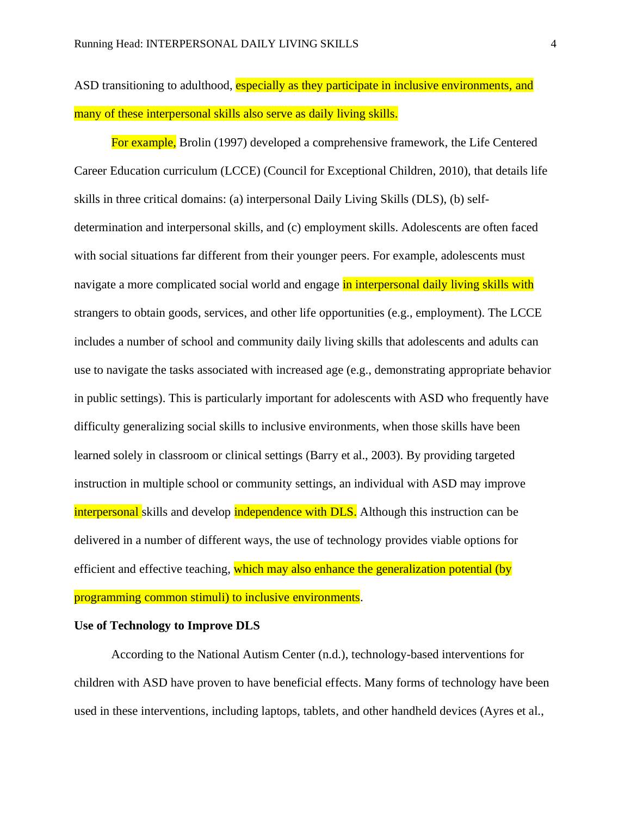ASD transitioning to adulthood, especially as they participate in inclusive environments, and many of these interpersonal skills also serve as daily living skills.

For example, Brolin (1997) developed a comprehensive framework, the Life Centered Career Education curriculum (LCCE) (Council for Exceptional Children, 2010), that details life skills in three critical domains: (a) interpersonal Daily Living Skills (DLS), (b) selfdetermination and interpersonal skills, and (c) employment skills. Adolescents are often faced with social situations far different from their younger peers. For example, adolescents must navigate a more complicated social world and engage in interpersonal daily living skills with strangers to obtain goods, services, and other life opportunities (e.g., employment). The LCCE includes a number of school and community daily living skills that adolescents and adults can use to navigate the tasks associated with increased age (e.g., demonstrating appropriate behavior in public settings). This is particularly important for adolescents with ASD who frequently have difficulty generalizing social skills to inclusive environments, when those skills have been learned solely in classroom or clinical settings (Barry et al., 2003). By providing targeted instruction in multiple school or community settings, an individual with ASD may improve interpersonal skills and develop independence with DLS. Although this instruction can be delivered in a number of different ways, the use of technology provides viable options for efficient and effective teaching, which may also enhance the generalization potential (by programming common stimuli) to inclusive environments.

## **Use of Technology to Improve DLS**

According to the National Autism Center (n.d.), technology-based interventions for children with ASD have proven to have beneficial effects. Many forms of technology have been used in these interventions, including laptops, tablets, and other handheld devices (Ayres et al.,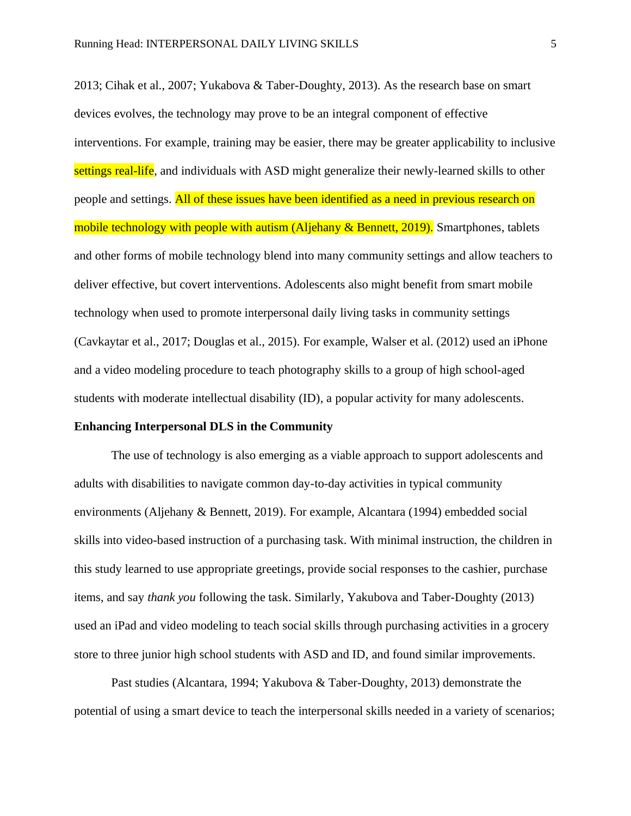2013; Cihak et al., 2007; Yukabova & Taber-Doughty, 2013). As the research base on smart devices evolves, the technology may prove to be an integral component of effective interventions. For example, training may be easier, there may be greater applicability to inclusive settings real-life, and individuals with ASD might generalize their newly-learned skills to other people and settings. All of these issues have been identified as a need in previous research on mobile technology with people with autism (Aljehany & Bennett, 2019). Smartphones, tablets and other forms of mobile technology blend into many community settings and allow teachers to deliver effective, but covert interventions. Adolescents also might benefit from smart mobile technology when used to promote interpersonal daily living tasks in community settings (Cavkaytar et al., 2017; Douglas et al., 2015). For example, Walser et al. (2012) used an iPhone and a video modeling procedure to teach photography skills to a group of high school-aged students with moderate intellectual disability (ID), a popular activity for many adolescents.

### **Enhancing Interpersonal DLS in the Community**

The use of technology is also emerging as a viable approach to support adolescents and adults with disabilities to navigate common day-to-day activities in typical community environments (Aljehany & Bennett, 2019). For example, Alcantara (1994) embedded social skills into video-based instruction of a purchasing task. With minimal instruction, the children in this study learned to use appropriate greetings, provide social responses to the cashier, purchase items, and say *thank you* following the task. Similarly, Yakubova and Taber-Doughty (2013) used an iPad and video modeling to teach social skills through purchasing activities in a grocery store to three junior high school students with ASD and ID, and found similar improvements.

Past studies (Alcantara, 1994; Yakubova & Taber-Doughty, 2013) demonstrate the potential of using a smart device to teach the interpersonal skills needed in a variety of scenarios;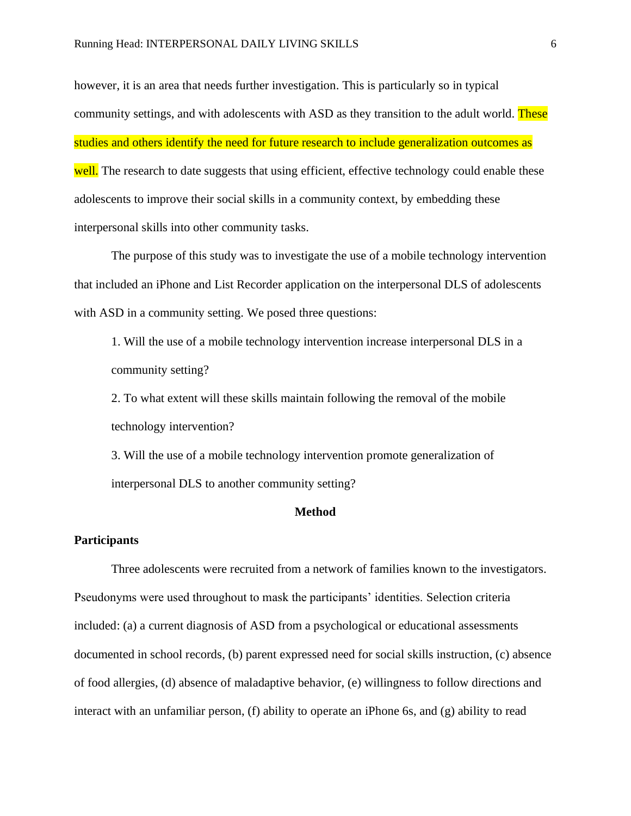however, it is an area that needs further investigation. This is particularly so in typical community settings, and with adolescents with ASD as they transition to the adult world. These studies and others identify the need for future research to include generalization outcomes as well. The research to date suggests that using efficient, effective technology could enable these adolescents to improve their social skills in a community context, by embedding these interpersonal skills into other community tasks.

The purpose of this study was to investigate the use of a mobile technology intervention that included an iPhone and List Recorder application on the interpersonal DLS of adolescents with ASD in a community setting. We posed three questions:

1. Will the use of a mobile technology intervention increase interpersonal DLS in a community setting?

2. To what extent will these skills maintain following the removal of the mobile technology intervention?

3. Will the use of a mobile technology intervention promote generalization of interpersonal DLS to another community setting?

# **Method**

### **Participants**

Three adolescents were recruited from a network of families known to the investigators. Pseudonyms were used throughout to mask the participants' identities. Selection criteria included: (a) a current diagnosis of ASD from a psychological or educational assessments documented in school records, (b) parent expressed need for social skills instruction, (c) absence of food allergies, (d) absence of maladaptive behavior, (e) willingness to follow directions and interact with an unfamiliar person, (f) ability to operate an iPhone 6s, and (g) ability to read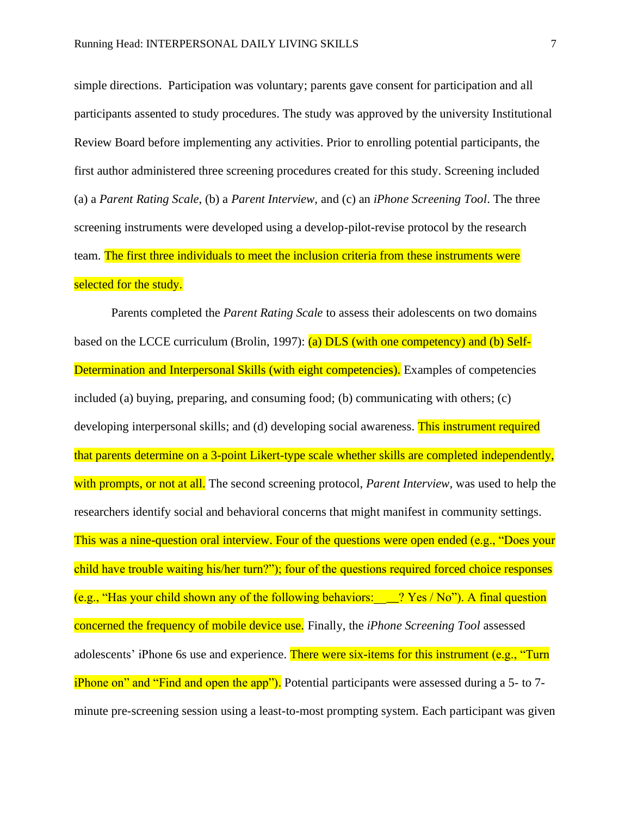simple directions. Participation was voluntary; parents gave consent for participation and all participants assented to study procedures. The study was approved by the university Institutional Review Board before implementing any activities. Prior to enrolling potential participants, the first author administered three screening procedures created for this study. Screening included (a) a *Parent Rating Scale*, (b) a *Parent Interview*, and (c) an *iPhone Screening Tool*. The three screening instruments were developed using a develop-pilot-revise protocol by the research team. The first three individuals to meet the inclusion criteria from these instruments were selected for the study.

Parents completed the *Parent Rating Scale* to assess their adolescents on two domains based on the LCCE curriculum (Brolin, 1997): (a) DLS (with one competency) and (b) Self-Determination and Interpersonal Skills (with eight competencies). Examples of competencies included (a) buying, preparing, and consuming food; (b) communicating with others;  $(c)$ developing interpersonal skills; and (d) developing social awareness. This instrument required that parents determine on a 3-point Likert-type scale whether skills are completed independently, with prompts, or not at all. The second screening protocol, *Parent Interview*, was used to help the researchers identify social and behavioral concerns that might manifest in community settings. This was a nine-question oral interview. Four of the questions were open ended (e.g., "Does your child have trouble waiting his/her turn?"); four of the questions required forced choice responses (e.g., "Has your child shown any of the following behaviors:  $\Box$ ? Yes / No"). A final question concerned the frequency of mobile device use. Finally, the *iPhone Screening Tool* assessed adolescents' iPhone 6s use and experience. There were six-items for this instrument (e.g., "Turn iPhone on" and "Find and open the app"). Potential participants were assessed during a 5- to 7 minute pre-screening session using a least-to-most prompting system. Each participant was given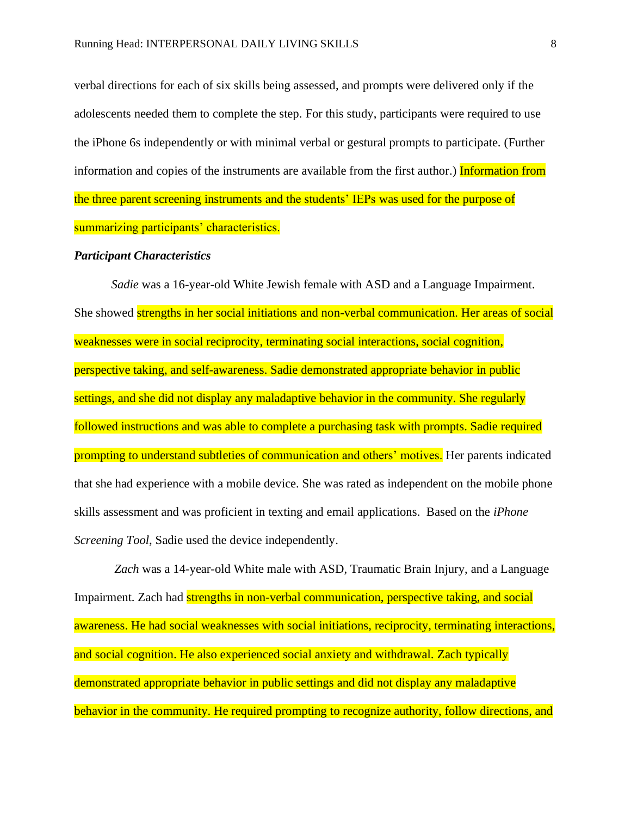verbal directions for each of six skills being assessed, and prompts were delivered only if the adolescents needed them to complete the step. For this study, participants were required to use the iPhone 6s independently or with minimal verbal or gestural prompts to participate. (Further information and copies of the instruments are available from the first author.) Information from the three parent screening instruments and the students' IEPs was used for the purpose of summarizing participants' characteristics.

#### *Participant Characteristics*

*Sadie* was a 16-year-old White Jewish female with ASD and a Language Impairment. She showed strengths in her social initiations and non-verbal communication. Her areas of social weaknesses were in social reciprocity, terminating social interactions, social cognition, perspective taking, and self-awareness. Sadie demonstrated appropriate behavior in public settings, and she did not display any maladaptive behavior in the community. She regularly followed instructions and was able to complete a purchasing task with prompts. Sadie required prompting to understand subtleties of communication and others' motives. Her parents indicated that she had experience with a mobile device. She was rated as independent on the mobile phone skills assessment and was proficient in texting and email applications. Based on the *iPhone Screening Tool*, Sadie used the device independently.

*Zach* was a 14-year-old White male with ASD, Traumatic Brain Injury, and a Language Impairment. Zach had strengths in non-verbal communication, perspective taking, and social awareness. He had social weaknesses with social initiations, reciprocity, terminating interactions, and social cognition. He also experienced social anxiety and withdrawal. Zach typically demonstrated appropriate behavior in public settings and did not display any maladaptive behavior in the community. He required prompting to recognize authority, follow directions, and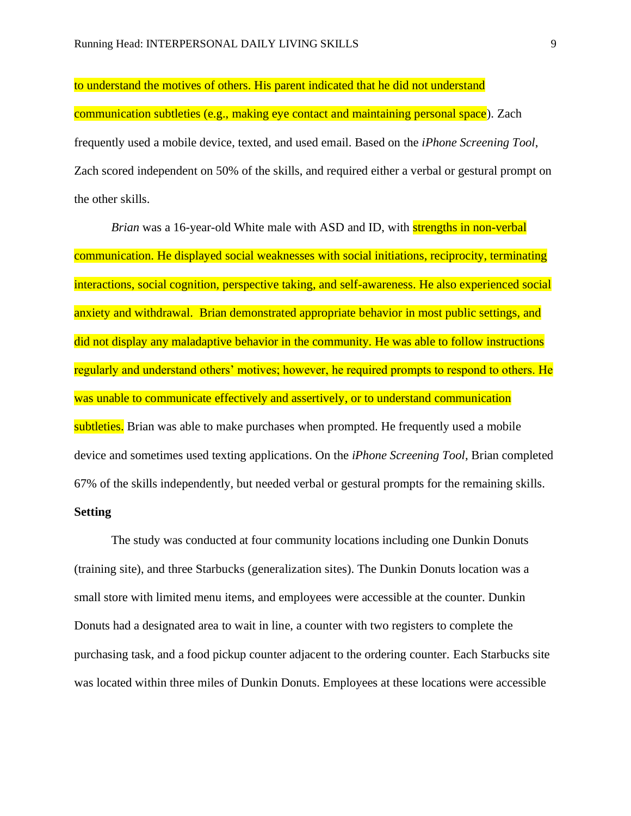to understand the motives of others. His parent indicated that he did not understand communication subtleties (e.g., making eye contact and maintaining personal space). Zach frequently used a mobile device, texted, and used email. Based on the *iPhone Screening Tool*, Zach scored independent on 50% of the skills, and required either a verbal or gestural prompt on the other skills.

*Brian* was a 16-year-old White male with ASD and ID, with **strengths in non-verbal** communication. He displayed social weaknesses with social initiations, reciprocity, terminating interactions, social cognition, perspective taking, and self-awareness. He also experienced social anxiety and withdrawal. Brian demonstrated appropriate behavior in most public settings, and did not display any maladaptive behavior in the community. He was able to follow instructions regularly and understand others' motives; however, he required prompts to respond to others. He was unable to communicate effectively and assertively, or to understand communication subtleties. Brian was able to make purchases when prompted. He frequently used a mobile device and sometimes used texting applications. On the *iPhone Screening Tool*, Brian completed 67% of the skills independently, but needed verbal or gestural prompts for the remaining skills. **Setting**

The study was conducted at four community locations including one Dunkin Donuts (training site), and three Starbucks (generalization sites). The Dunkin Donuts location was a small store with limited menu items, and employees were accessible at the counter. Dunkin Donuts had a designated area to wait in line, a counter with two registers to complete the purchasing task, and a food pickup counter adjacent to the ordering counter. Each Starbucks site was located within three miles of Dunkin Donuts. Employees at these locations were accessible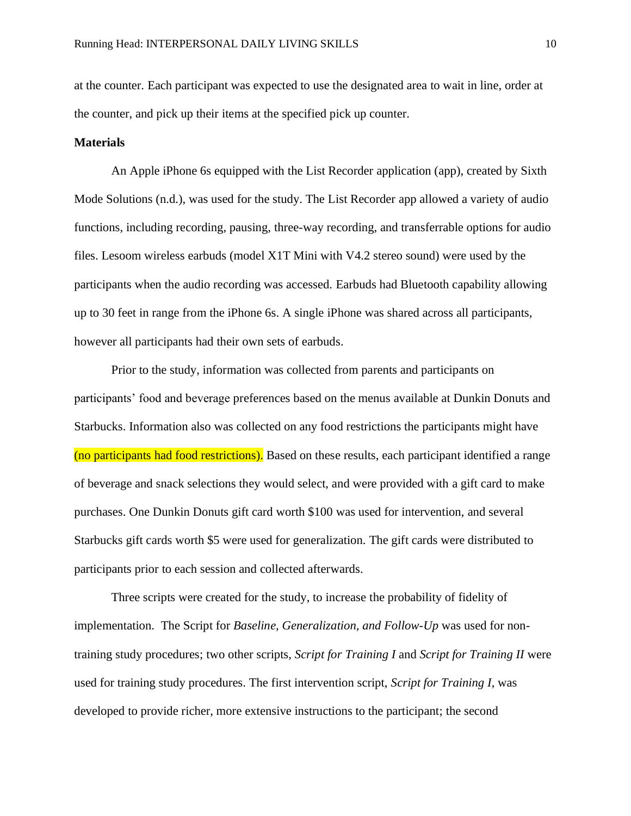at the counter. Each participant was expected to use the designated area to wait in line, order at the counter, and pick up their items at the specified pick up counter.

# **Materials**

An Apple iPhone 6s equipped with the List Recorder application (app), created by Sixth Mode Solutions (n.d.), was used for the study. The List Recorder app allowed a variety of audio functions, including recording, pausing, three-way recording, and transferrable options for audio files. Lesoom wireless earbuds (model X1T Mini with V4.2 stereo sound) were used by the participants when the audio recording was accessed. Earbuds had Bluetooth capability allowing up to 30 feet in range from the iPhone 6s. A single iPhone was shared across all participants, however all participants had their own sets of earbuds.

Prior to the study, information was collected from parents and participants on participants' food and beverage preferences based on the menus available at Dunkin Donuts and Starbucks. Information also was collected on any food restrictions the participants might have (no participants had food restrictions). Based on these results, each participant identified a range of beverage and snack selections they would select, and were provided with a gift card to make purchases. One Dunkin Donuts gift card worth \$100 was used for intervention, and several Starbucks gift cards worth \$5 were used for generalization. The gift cards were distributed to participants prior to each session and collected afterwards.

Three scripts were created for the study, to increase the probability of fidelity of implementation. The Script for *Baseline, Generalization, and Follow-Up* was used for nontraining study procedures; two other scripts, *Script for Training I* and *Script for Training II* were used for training study procedures. The first intervention script, *Script for Training I*, was developed to provide richer, more extensive instructions to the participant; the second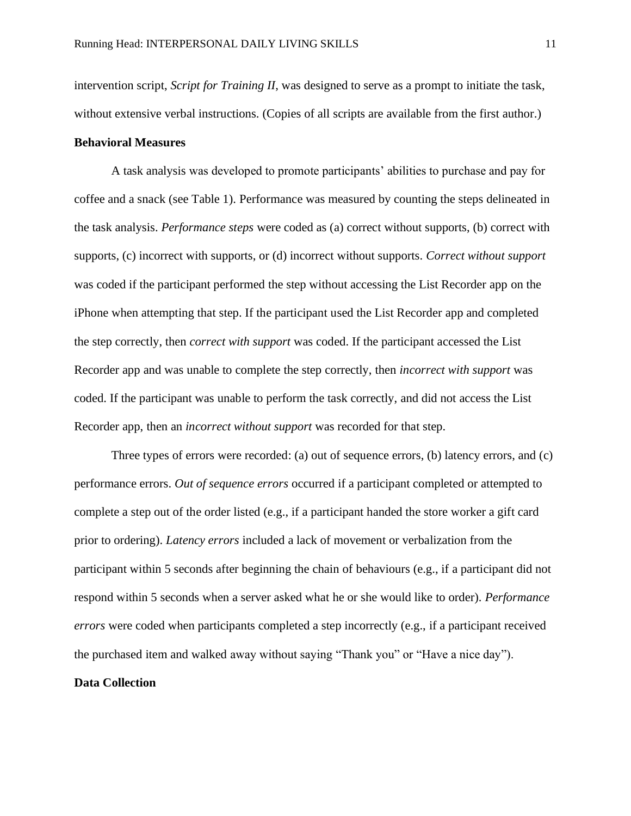intervention script, *Script for Training II*, was designed to serve as a prompt to initiate the task, without extensive verbal instructions. (Copies of all scripts are available from the first author.)

# **Behavioral Measures**

A task analysis was developed to promote participants' abilities to purchase and pay for coffee and a snack (see Table 1). Performance was measured by counting the steps delineated in the task analysis. *Performance steps* were coded as (a) correct without supports, (b) correct with supports, (c) incorrect with supports, or (d) incorrect without supports. *Correct without support* was coded if the participant performed the step without accessing the List Recorder app on the iPhone when attempting that step. If the participant used the List Recorder app and completed the step correctly, then *correct with support* was coded. If the participant accessed the List Recorder app and was unable to complete the step correctly, then *incorrect with support* was coded. If the participant was unable to perform the task correctly, and did not access the List Recorder app, then an *incorrect without support* was recorded for that step.

Three types of errors were recorded: (a) out of sequence errors, (b) latency errors, and (c) performance errors. *Out of sequence errors* occurred if a participant completed or attempted to complete a step out of the order listed (e.g., if a participant handed the store worker a gift card prior to ordering). *Latency errors* included a lack of movement or verbalization from the participant within 5 seconds after beginning the chain of behaviours (e.g., if a participant did not respond within 5 seconds when a server asked what he or she would like to order). *Performance errors* were coded when participants completed a step incorrectly (e.g., if a participant received the purchased item and walked away without saying "Thank you" or "Have a nice day").

## **Data Collection**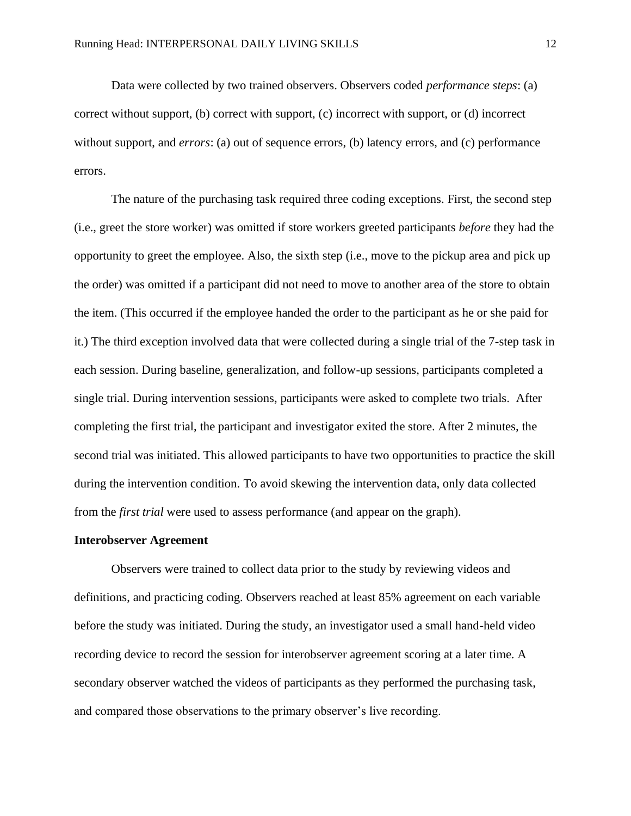Data were collected by two trained observers. Observers coded *performance steps*: (a) correct without support, (b) correct with support, (c) incorrect with support, or (d) incorrect without support, and *errors*: (a) out of sequence errors, (b) latency errors, and (c) performance errors.

The nature of the purchasing task required three coding exceptions. First, the second step (i.e., greet the store worker) was omitted if store workers greeted participants *before* they had the opportunity to greet the employee. Also, the sixth step (i.e., move to the pickup area and pick up the order) was omitted if a participant did not need to move to another area of the store to obtain the item. (This occurred if the employee handed the order to the participant as he or she paid for it.) The third exception involved data that were collected during a single trial of the 7-step task in each session. During baseline, generalization, and follow-up sessions, participants completed a single trial. During intervention sessions, participants were asked to complete two trials. After completing the first trial, the participant and investigator exited the store. After 2 minutes, the second trial was initiated. This allowed participants to have two opportunities to practice the skill during the intervention condition. To avoid skewing the intervention data, only data collected from the *first trial* were used to assess performance (and appear on the graph).

# **Interobserver Agreement**

Observers were trained to collect data prior to the study by reviewing videos and definitions, and practicing coding. Observers reached at least 85% agreement on each variable before the study was initiated. During the study, an investigator used a small hand-held video recording device to record the session for interobserver agreement scoring at a later time. A secondary observer watched the videos of participants as they performed the purchasing task, and compared those observations to the primary observer's live recording.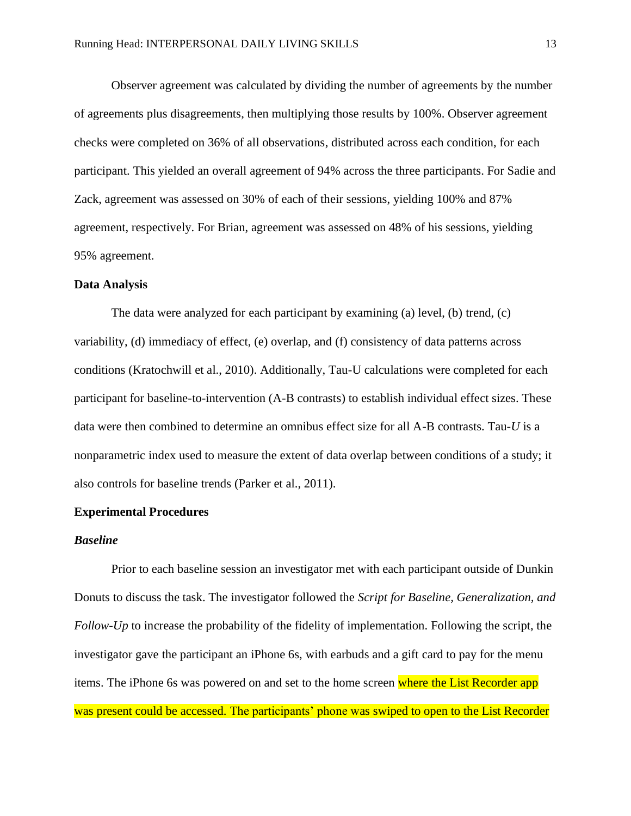Observer agreement was calculated by dividing the number of agreements by the number of agreements plus disagreements, then multiplying those results by 100%. Observer agreement checks were completed on 36% of all observations, distributed across each condition, for each participant. This yielded an overall agreement of 94% across the three participants. For Sadie and Zack, agreement was assessed on 30% of each of their sessions, yielding 100% and 87% agreement, respectively. For Brian, agreement was assessed on 48% of his sessions, yielding 95% agreement.

### **Data Analysis**

The data were analyzed for each participant by examining (a) level, (b) trend,  $(c)$ variability, (d) immediacy of effect, (e) overlap, and (f) consistency of data patterns across conditions (Kratochwill et al., 2010). Additionally, Tau-U calculations were completed for each participant for baseline-to-intervention (A-B contrasts) to establish individual effect sizes. These data were then combined to determine an omnibus effect size for all A-B contrasts. Tau-*U* is a nonparametric index used to measure the extent of data overlap between conditions of a study; it also controls for baseline trends (Parker et al., 2011).

# **Experimental Procedures**

#### *Baseline*

Prior to each baseline session an investigator met with each participant outside of Dunkin Donuts to discuss the task. The investigator followed the *Script for Baseline, Generalization, and Follow-Up* to increase the probability of the fidelity of implementation. Following the script, the investigator gave the participant an iPhone 6s, with earbuds and a gift card to pay for the menu items. The iPhone 6s was powered on and set to the home screen where the List Recorder app was present could be accessed. The participants' phone was swiped to open to the List Recorder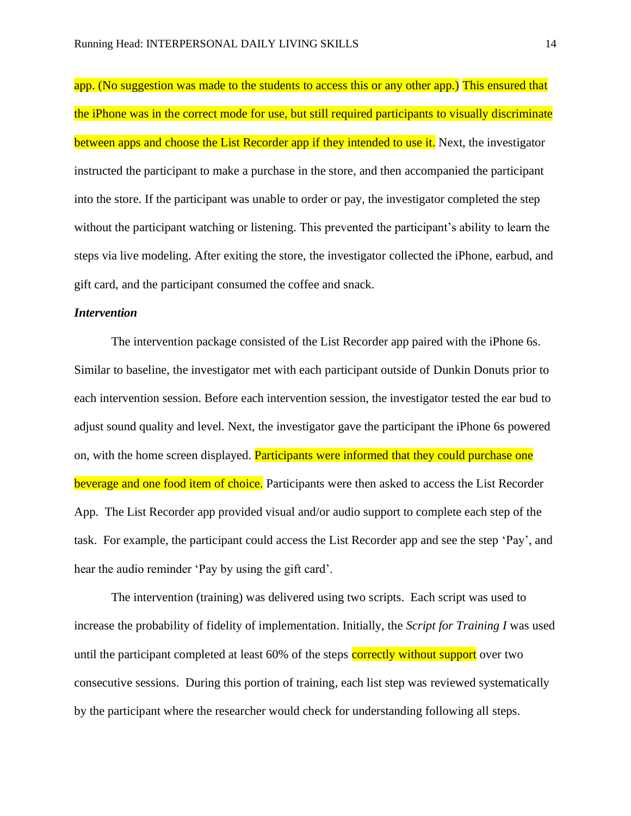app. (No suggestion was made to the students to access this or any other app.) This ensured that the iPhone was in the correct mode for use, but still required participants to visually discriminate between apps and choose the List Recorder app if they intended to use it. Next, the investigator instructed the participant to make a purchase in the store, and then accompanied the participant into the store. If the participant was unable to order or pay, the investigator completed the step without the participant watching or listening. This prevented the participant's ability to learn the steps via live modeling. After exiting the store, the investigator collected the iPhone, earbud, and gift card, and the participant consumed the coffee and snack.

#### *Intervention*

The intervention package consisted of the List Recorder app paired with the iPhone 6s. Similar to baseline, the investigator met with each participant outside of Dunkin Donuts prior to each intervention session. Before each intervention session, the investigator tested the ear bud to adjust sound quality and level. Next, the investigator gave the participant the iPhone 6s powered on, with the home screen displayed. Participants were informed that they could purchase one beverage and one food item of choice. Participants were then asked to access the List Recorder App. The List Recorder app provided visual and/or audio support to complete each step of the task. For example, the participant could access the List Recorder app and see the step 'Pay', and hear the audio reminder 'Pay by using the gift card'.

The intervention (training) was delivered using two scripts. Each script was used to increase the probability of fidelity of implementation. Initially, the *Script for Training I* was used until the participant completed at least 60% of the steps correctly without support over two consecutive sessions. During this portion of training, each list step was reviewed systematically by the participant where the researcher would check for understanding following all steps.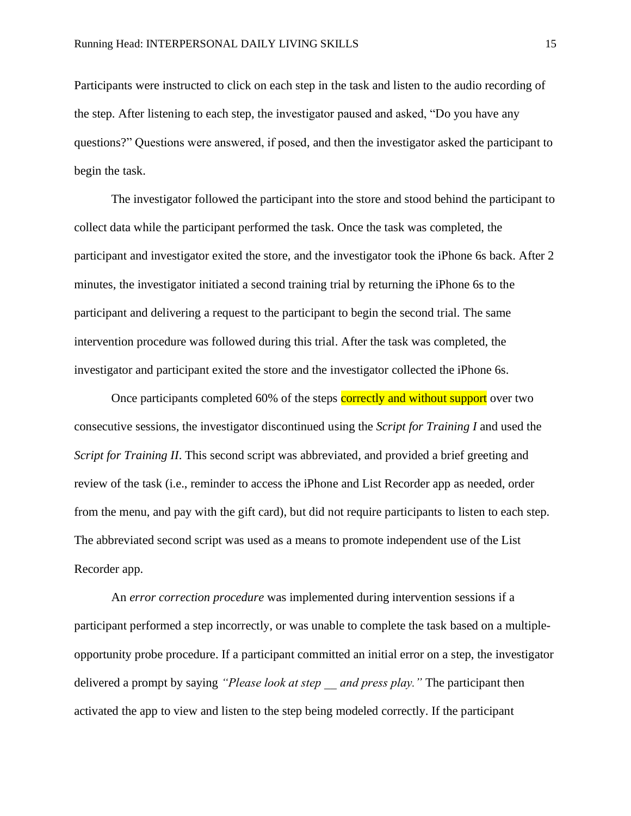Participants were instructed to click on each step in the task and listen to the audio recording of the step. After listening to each step, the investigator paused and asked, "Do you have any questions?" Questions were answered, if posed, and then the investigator asked the participant to begin the task.

The investigator followed the participant into the store and stood behind the participant to collect data while the participant performed the task. Once the task was completed, the participant and investigator exited the store, and the investigator took the iPhone 6s back. After 2 minutes, the investigator initiated a second training trial by returning the iPhone 6s to the participant and delivering a request to the participant to begin the second trial. The same intervention procedure was followed during this trial. After the task was completed, the investigator and participant exited the store and the investigator collected the iPhone 6s.

Once participants completed 60% of the steps correctly and without support over two consecutive sessions, the investigator discontinued using the *Script for Training I* and used the *Script for Training II.* This second script was abbreviated, and provided a brief greeting and review of the task (i.e., reminder to access the iPhone and List Recorder app as needed, order from the menu, and pay with the gift card), but did not require participants to listen to each step. The abbreviated second script was used as a means to promote independent use of the List Recorder app.

An *error correction procedure* was implemented during intervention sessions if a participant performed a step incorrectly, or was unable to complete the task based on a multipleopportunity probe procedure. If a participant committed an initial error on a step, the investigator delivered a prompt by saying *"Please look at step \_\_ and press play."* The participant then activated the app to view and listen to the step being modeled correctly. If the participant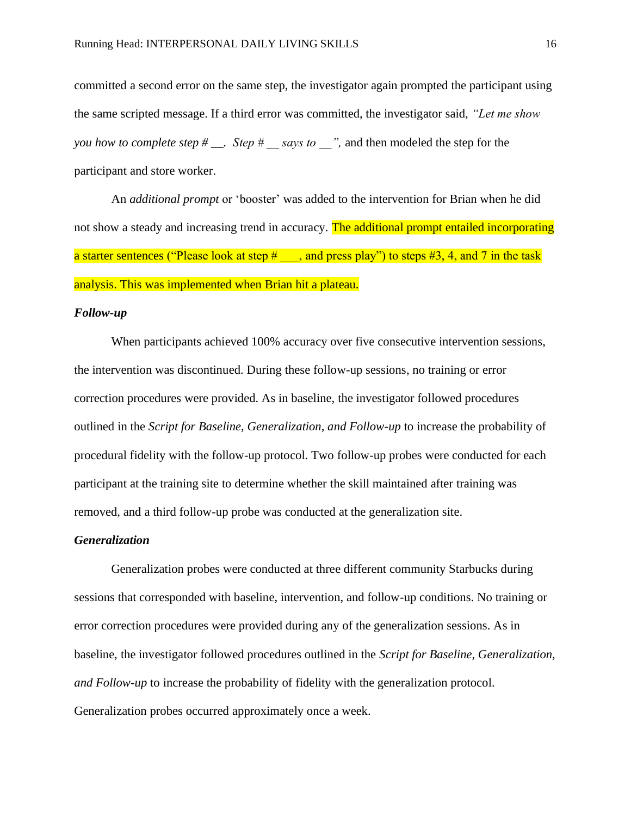committed a second error on the same step, the investigator again prompted the participant using the same scripted message. If a third error was committed, the investigator said, *"Let me show you how to complete step #* \_\_. *Step # says to* ", and then modeled the step for the participant and store worker.

An *additional prompt* or 'booster' was added to the intervention for Brian when he did not show a steady and increasing trend in accuracy. The additional prompt entailed incorporating a starter sentences ("Please look at step  $\#$ , and press play") to steps  $\#3, 4$ , and 7 in the task analysis. This was implemented when Brian hit a plateau.

#### *Follow-up*

When participants achieved 100% accuracy over five consecutive intervention sessions, the intervention was discontinued. During these follow-up sessions, no training or error correction procedures were provided. As in baseline, the investigator followed procedures outlined in the *Script for Baseline, Generalization, and Follow-up* to increase the probability of procedural fidelity with the follow-up protocol. Two follow-up probes were conducted for each participant at the training site to determine whether the skill maintained after training was removed, and a third follow-up probe was conducted at the generalization site.

### *Generalization*

Generalization probes were conducted at three different community Starbucks during sessions that corresponded with baseline, intervention, and follow-up conditions. No training or error correction procedures were provided during any of the generalization sessions. As in baseline, the investigator followed procedures outlined in the *Script for Baseline, Generalization, and Follow-up* to increase the probability of fidelity with the generalization protocol. Generalization probes occurred approximately once a week.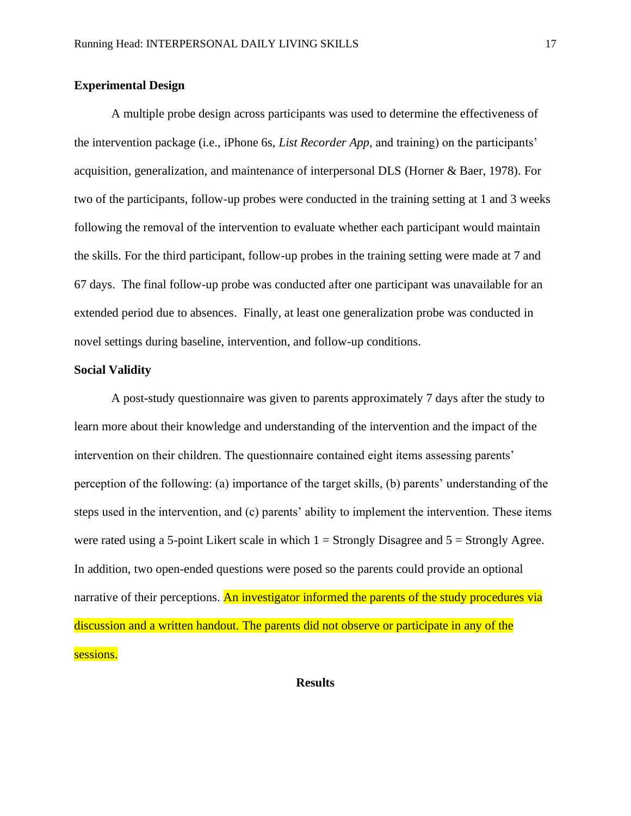# **Experimental Design**

A multiple probe design across participants was used to determine the effectiveness of the intervention package (i.e., iPhone 6s, *List Recorder App,* and training) on the participants' acquisition, generalization, and maintenance of interpersonal DLS (Horner & Baer, 1978). For two of the participants, follow-up probes were conducted in the training setting at 1 and 3 weeks following the removal of the intervention to evaluate whether each participant would maintain the skills. For the third participant, follow-up probes in the training setting were made at 7 and 67 days. The final follow-up probe was conducted after one participant was unavailable for an extended period due to absences. Finally, at least one generalization probe was conducted in novel settings during baseline, intervention, and follow-up conditions.

## **Social Validity**

A post-study questionnaire was given to parents approximately 7 days after the study to learn more about their knowledge and understanding of the intervention and the impact of the intervention on their children. The questionnaire contained eight items assessing parents' perception of the following: (a) importance of the target skills, (b) parents' understanding of the steps used in the intervention, and (c) parents' ability to implement the intervention. These items were rated using a 5-point Likert scale in which  $1 =$  Strongly Disagree and  $5 =$  Strongly Agree. In addition, two open-ended questions were posed so the parents could provide an optional narrative of their perceptions. An investigator informed the parents of the study procedures via discussion and a written handout. The parents did not observe or participate in any of the sessions.

**Results**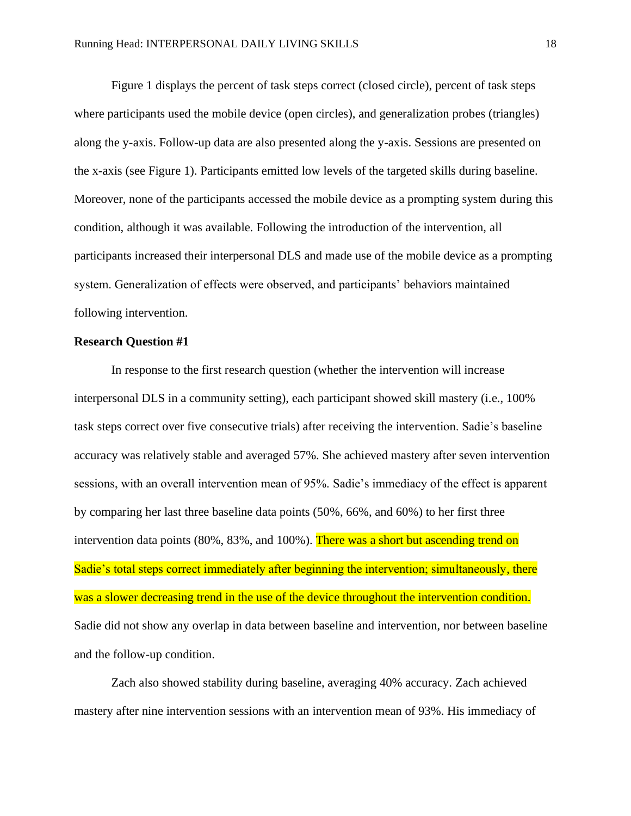Figure 1 displays the percent of task steps correct (closed circle), percent of task steps where participants used the mobile device (open circles), and generalization probes (triangles) along the y-axis. Follow-up data are also presented along the y-axis. Sessions are presented on the x-axis (see Figure 1). Participants emitted low levels of the targeted skills during baseline. Moreover, none of the participants accessed the mobile device as a prompting system during this condition, although it was available. Following the introduction of the intervention, all participants increased their interpersonal DLS and made use of the mobile device as a prompting system. Generalization of effects were observed, and participants' behaviors maintained following intervention.

## **Research Question #1**

In response to the first research question (whether the intervention will increase interpersonal DLS in a community setting), each participant showed skill mastery (i.e., 100% task steps correct over five consecutive trials) after receiving the intervention. Sadie's baseline accuracy was relatively stable and averaged 57%. She achieved mastery after seven intervention sessions, with an overall intervention mean of 95%. Sadie's immediacy of the effect is apparent by comparing her last three baseline data points (50%, 66%, and 60%) to her first three intervention data points (80%, 83%, and 100%). There was a short but ascending trend on Sadie's total steps correct immediately after beginning the intervention; simultaneously, there was a slower decreasing trend in the use of the device throughout the intervention condition. Sadie did not show any overlap in data between baseline and intervention, nor between baseline and the follow-up condition.

Zach also showed stability during baseline, averaging 40% accuracy. Zach achieved mastery after nine intervention sessions with an intervention mean of 93%. His immediacy of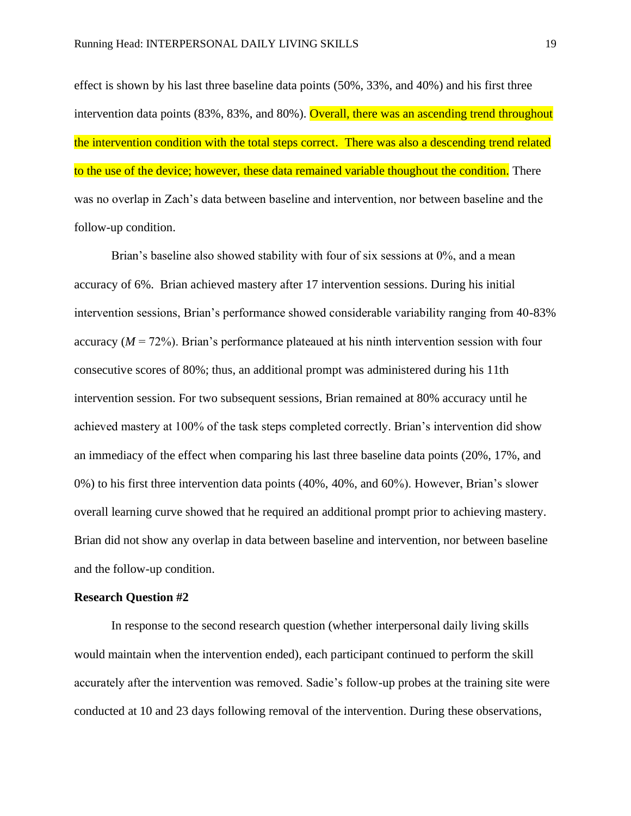effect is shown by his last three baseline data points (50%, 33%, and 40%) and his first three intervention data points (83%, 83%, and 80%). Overall, there was an ascending trend throughout the intervention condition with the total steps correct. There was also a descending trend related to the use of the device; however, these data remained variable thoughout the condition. There was no overlap in Zach's data between baseline and intervention, nor between baseline and the follow-up condition.

Brian's baseline also showed stability with four of six sessions at 0%, and a mean accuracy of 6%. Brian achieved mastery after 17 intervention sessions. During his initial intervention sessions, Brian's performance showed considerable variability ranging from 40-83% accuracy  $(M = 72\%)$ . Brian's performance plateaued at his ninth intervention session with four consecutive scores of 80%; thus, an additional prompt was administered during his 11th intervention session. For two subsequent sessions, Brian remained at 80% accuracy until he achieved mastery at 100% of the task steps completed correctly. Brian's intervention did show an immediacy of the effect when comparing his last three baseline data points (20%, 17%, and 0%) to his first three intervention data points (40%, 40%, and 60%). However, Brian's slower overall learning curve showed that he required an additional prompt prior to achieving mastery. Brian did not show any overlap in data between baseline and intervention, nor between baseline and the follow-up condition.

## **Research Question #2**

In response to the second research question (whether interpersonal daily living skills would maintain when the intervention ended), each participant continued to perform the skill accurately after the intervention was removed. Sadie's follow-up probes at the training site were conducted at 10 and 23 days following removal of the intervention. During these observations,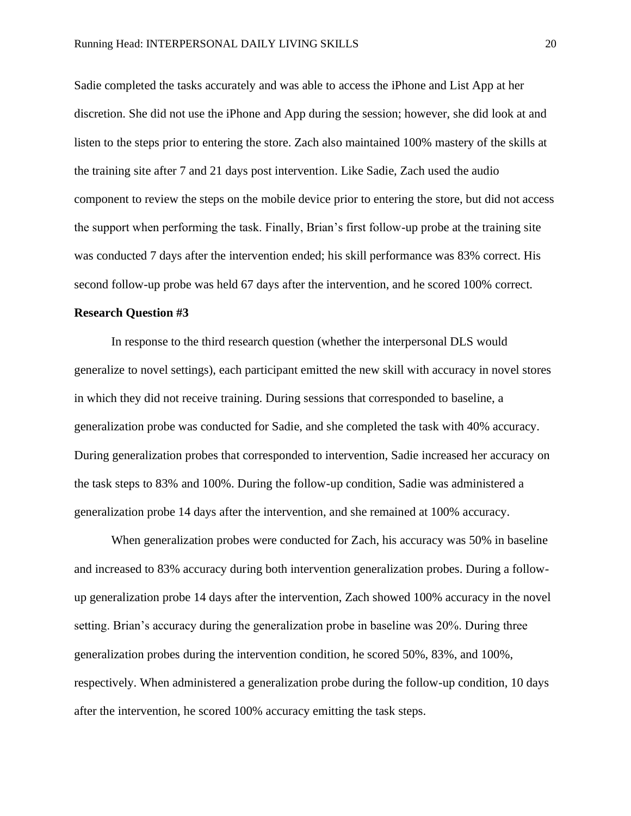Sadie completed the tasks accurately and was able to access the iPhone and List App at her discretion. She did not use the iPhone and App during the session; however, she did look at and listen to the steps prior to entering the store. Zach also maintained 100% mastery of the skills at the training site after 7 and 21 days post intervention. Like Sadie, Zach used the audio component to review the steps on the mobile device prior to entering the store, but did not access the support when performing the task. Finally, Brian's first follow-up probe at the training site was conducted 7 days after the intervention ended; his skill performance was 83% correct. His second follow-up probe was held 67 days after the intervention, and he scored 100% correct.

#### **Research Question #3**

In response to the third research question (whether the interpersonal DLS would generalize to novel settings), each participant emitted the new skill with accuracy in novel stores in which they did not receive training. During sessions that corresponded to baseline, a generalization probe was conducted for Sadie, and she completed the task with 40% accuracy. During generalization probes that corresponded to intervention, Sadie increased her accuracy on the task steps to 83% and 100%. During the follow-up condition, Sadie was administered a generalization probe 14 days after the intervention, and she remained at 100% accuracy.

When generalization probes were conducted for Zach, his accuracy was 50% in baseline and increased to 83% accuracy during both intervention generalization probes. During a followup generalization probe 14 days after the intervention, Zach showed 100% accuracy in the novel setting. Brian's accuracy during the generalization probe in baseline was 20%. During three generalization probes during the intervention condition, he scored 50%, 83%, and 100%, respectively. When administered a generalization probe during the follow-up condition, 10 days after the intervention, he scored 100% accuracy emitting the task steps.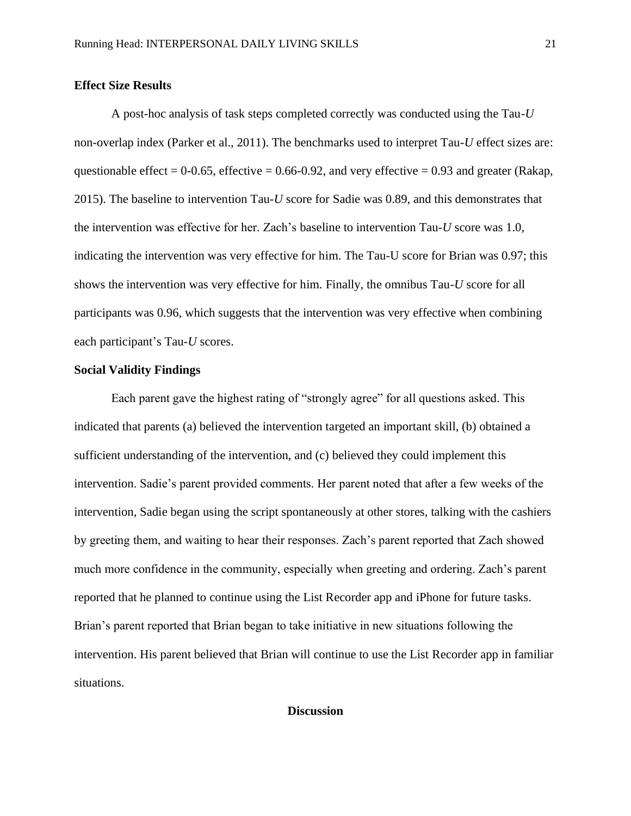# **Effect Size Results**

A post-hoc analysis of task steps completed correctly was conducted using the Tau-*U* non-overlap index (Parker et al., 2011). The benchmarks used to interpret Tau-*U* effect sizes are: questionable effect = 0-0.65, effective = 0.66-0.92, and very effective = 0.93 and greater (Rakap, 2015). The baseline to intervention Tau-*U* score for Sadie was 0.89, and this demonstrates that the intervention was effective for her. Zach's baseline to intervention Tau-*U* score was 1.0, indicating the intervention was very effective for him. The Tau-U score for Brian was 0.97; this shows the intervention was very effective for him. Finally, the omnibus Tau-*U* score for all participants was 0.96, which suggests that the intervention was very effective when combining each participant's Tau-*U* scores.

## **Social Validity Findings**

Each parent gave the highest rating of "strongly agree" for all questions asked. This indicated that parents (a) believed the intervention targeted an important skill, (b) obtained a sufficient understanding of the intervention, and (c) believed they could implement this intervention. Sadie's parent provided comments. Her parent noted that after a few weeks of the intervention, Sadie began using the script spontaneously at other stores, talking with the cashiers by greeting them, and waiting to hear their responses. Zach's parent reported that Zach showed much more confidence in the community, especially when greeting and ordering. Zach's parent reported that he planned to continue using the List Recorder app and iPhone for future tasks. Brian's parent reported that Brian began to take initiative in new situations following the intervention. His parent believed that Brian will continue to use the List Recorder app in familiar situations.

# **Discussion**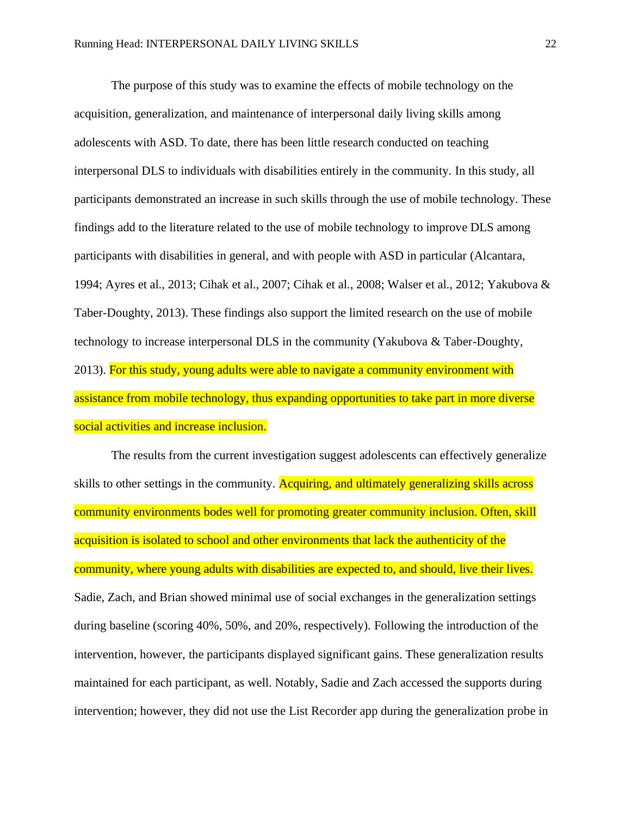The purpose of this study was to examine the effects of mobile technology on the acquisition, generalization, and maintenance of interpersonal daily living skills among adolescents with ASD. To date, there has been little research conducted on teaching interpersonal DLS to individuals with disabilities entirely in the community. In this study, all participants demonstrated an increase in such skills through the use of mobile technology. These findings add to the literature related to the use of mobile technology to improve DLS among participants with disabilities in general, and with people with ASD in particular (Alcantara, 1994; Ayres et al., 2013; Cihak et al., 2007; Cihak et al., 2008; Walser et al., 2012; Yakubova & Taber-Doughty, 2013). These findings also support the limited research on the use of mobile technology to increase interpersonal DLS in the community (Yakubova & Taber-Doughty, 2013). For this study, young adults were able to navigate a community environment with assistance from mobile technology, thus expanding opportunities to take part in more diverse social activities and increase inclusion.

The results from the current investigation suggest adolescents can effectively generalize skills to other settings in the community. Acquiring, and ultimately generalizing skills across community environments bodes well for promoting greater community inclusion. Often, skill acquisition is isolated to school and other environments that lack the authenticity of the community, where young adults with disabilities are expected to, and should, live their lives. Sadie, Zach, and Brian showed minimal use of social exchanges in the generalization settings during baseline (scoring 40%, 50%, and 20%, respectively). Following the introduction of the intervention, however, the participants displayed significant gains. These generalization results maintained for each participant, as well. Notably, Sadie and Zach accessed the supports during intervention; however, they did not use the List Recorder app during the generalization probe in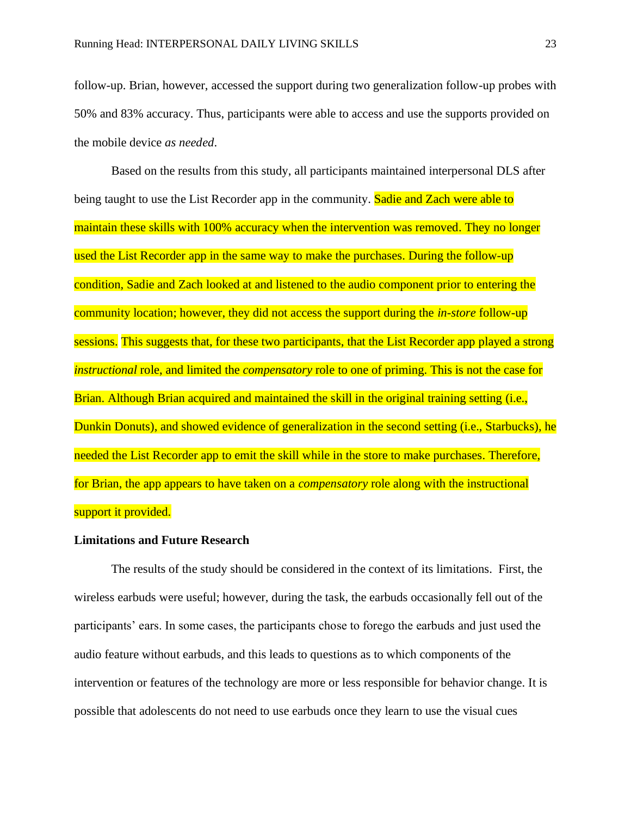follow-up. Brian, however, accessed the support during two generalization follow-up probes with 50% and 83% accuracy. Thus, participants were able to access and use the supports provided on the mobile device *as needed*.

Based on the results from this study, all participants maintained interpersonal DLS after being taught to use the List Recorder app in the community. Sadie and Zach were able to maintain these skills with 100% accuracy when the intervention was removed. They no longer used the List Recorder app in the same way to make the purchases. During the follow-up condition, Sadie and Zach looked at and listened to the audio component prior to entering the community location; however, they did not access the support during the *in-store* follow-up sessions. This suggests that, for these two participants, that the List Recorder app played a strong *instructional* role, and limited the *compensatory* role to one of priming. This is not the case for Brian. Although Brian acquired and maintained the skill in the original training setting (i.e., Dunkin Donuts), and showed evidence of generalization in the second setting (i.e., Starbucks), he needed the List Recorder app to emit the skill while in the store to make purchases. Therefore, for Brian, the app appears to have taken on a *compensatory* role along with the instructional support it provided.

## **Limitations and Future Research**

The results of the study should be considered in the context of its limitations. First, the wireless earbuds were useful; however, during the task, the earbuds occasionally fell out of the participants' ears. In some cases, the participants chose to forego the earbuds and just used the audio feature without earbuds, and this leads to questions as to which components of the intervention or features of the technology are more or less responsible for behavior change. It is possible that adolescents do not need to use earbuds once they learn to use the visual cues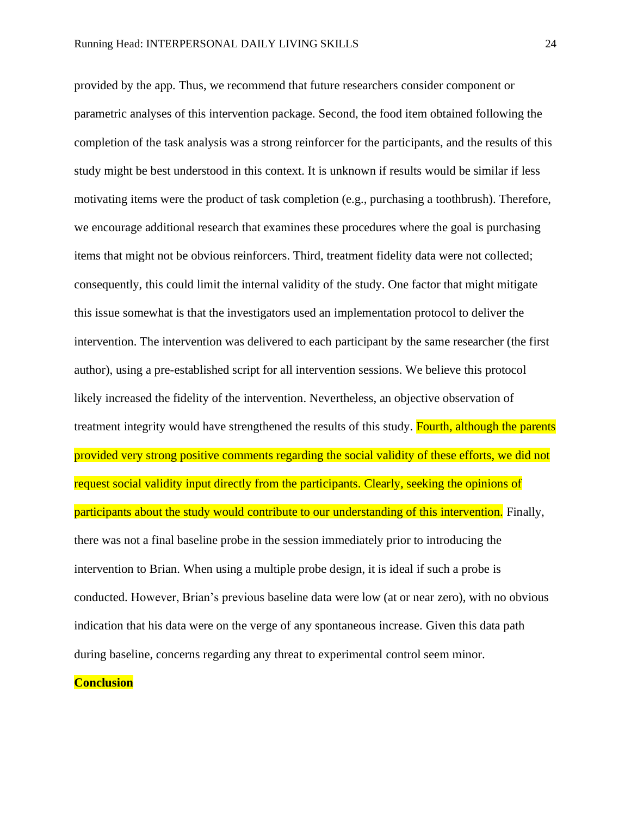provided by the app. Thus, we recommend that future researchers consider component or parametric analyses of this intervention package. Second, the food item obtained following the completion of the task analysis was a strong reinforcer for the participants, and the results of this study might be best understood in this context. It is unknown if results would be similar if less motivating items were the product of task completion (e.g., purchasing a toothbrush). Therefore, we encourage additional research that examines these procedures where the goal is purchasing items that might not be obvious reinforcers. Third, treatment fidelity data were not collected; consequently, this could limit the internal validity of the study. One factor that might mitigate this issue somewhat is that the investigators used an implementation protocol to deliver the intervention. The intervention was delivered to each participant by the same researcher (the first author), using a pre-established script for all intervention sessions. We believe this protocol likely increased the fidelity of the intervention. Nevertheless, an objective observation of treatment integrity would have strengthened the results of this study. Fourth, although the parents provided very strong positive comments regarding the social validity of these efforts, we did not request social validity input directly from the participants. Clearly, seeking the opinions of participants about the study would contribute to our understanding of this intervention. Finally, there was not a final baseline probe in the session immediately prior to introducing the intervention to Brian. When using a multiple probe design, it is ideal if such a probe is conducted. However, Brian's previous baseline data were low (at or near zero), with no obvious indication that his data were on the verge of any spontaneous increase. Given this data path during baseline, concerns regarding any threat to experimental control seem minor.

# **Conclusion**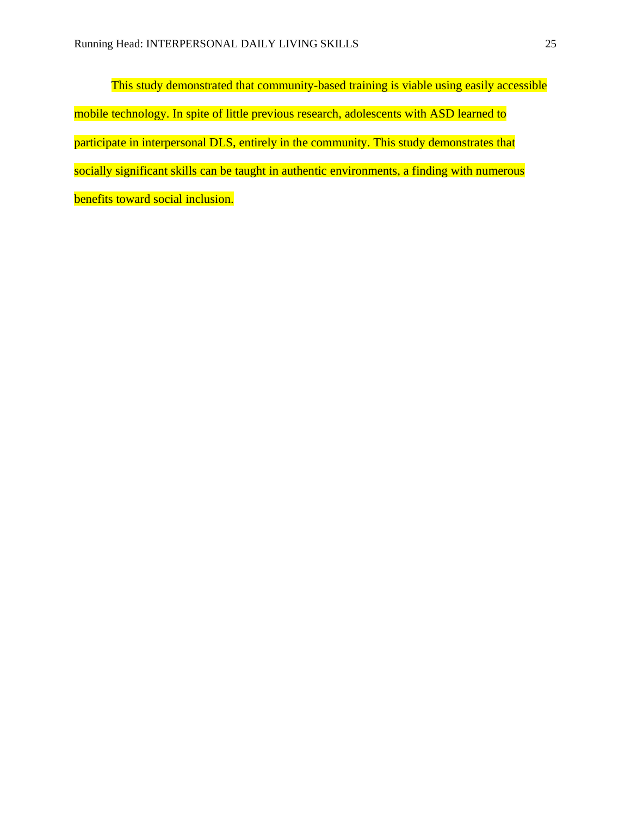This study demonstrated that community-based training is viable using easily accessible mobile technology. In spite of little previous research, adolescents with ASD learned to participate in interpersonal DLS, entirely in the community. This study demonstrates that socially significant skills can be taught in authentic environments, a finding with numerous benefits toward social inclusion.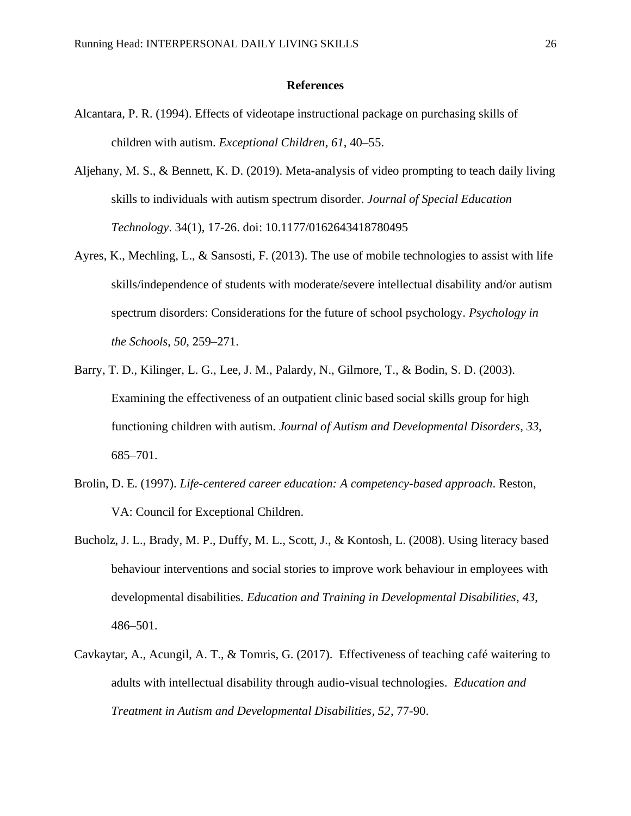## **References**

- Alcantara, P. R. (1994). Effects of videotape instructional package on purchasing skills of children with autism. *Exceptional Children*, *61*, 40–55.
- Aljehany, M. S., & Bennett, K. D. (2019). Meta-analysis of video prompting to teach daily living skills to individuals with autism spectrum disorder. *Journal of Special Education Technology*. 34(1), 17-26. doi: 10.1177/0162643418780495
- Ayres, K., Mechling, L., & Sansosti, F. (2013). The use of mobile technologies to assist with life skills/independence of students with moderate/severe intellectual disability and/or autism spectrum disorders: Considerations for the future of school psychology. *Psychology in the Schools*, *50*, 259–271.
- Barry, T. D., Kilinger, L. G., Lee, J. M., Palardy, N., Gilmore, T., & Bodin, S. D. (2003). Examining the effectiveness of an outpatient clinic based social skills group for high functioning children with autism. *Journal of Autism and Developmental Disorders*, *33*, 685–701.
- Brolin, D. E. (1997). *Life-centered career education: A competency-based approach*. Reston, VA: Council for Exceptional Children.
- Bucholz, J. L., Brady, M. P., Duffy, M. L., Scott, J., & Kontosh, L. (2008). Using literacy based behaviour interventions and social stories to improve work behaviour in employees with developmental disabilities. *Education and Training in Developmental Disabilities*, *43*, 486–501.
- Cavkaytar, A., Acungil, A. T., & Tomris, G. (2017). Effectiveness of teaching café waitering to adults with intellectual disability through audio-visual technologies. *Education and Treatment in Autism and Developmental Disabilities, 52*, 77-90.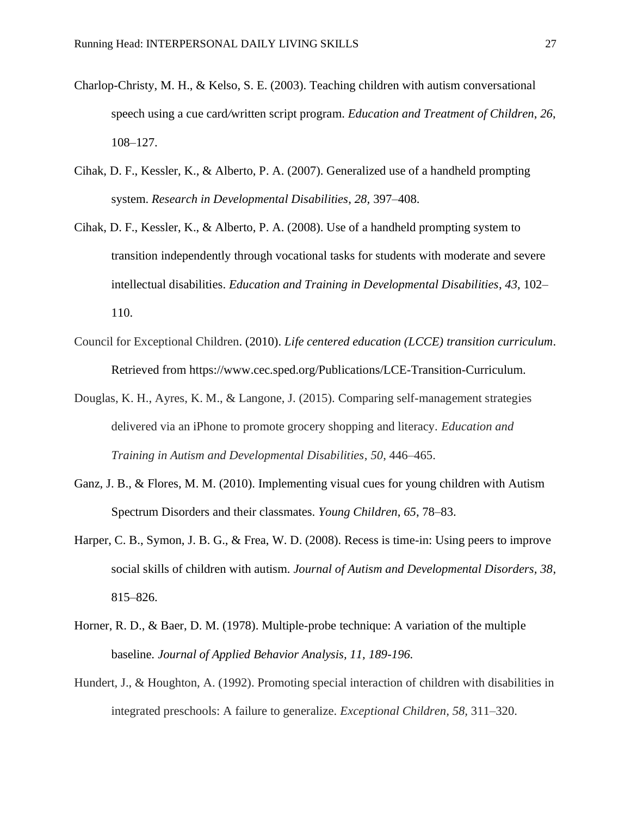- Charlop-Christy, M. H., & Kelso, S. E. (2003). Teaching children with autism conversational speech using a cue card*/*written script program. *Education and Treatment of Children*, *26*, 108–127.
- Cihak, D. F., Kessler, K., & Alberto, P. A. (2007). Generalized use of a handheld prompting system. *Research in Developmental Disabilities*, *28,* 397–408.
- Cihak, D. F., Kessler, K., & Alberto, P. A. (2008). Use of a handheld prompting system to transition independently through vocational tasks for students with moderate and severe intellectual disabilities. *Education and Training in Developmental Disabilities*, *43*, 102– 110.
- Council for Exceptional Children. (2010). *Life centered education (LCCE) transition curriculum*. Retrieved from https://www.cec.sped.org/Publications/LCE-Transition-Curriculum.
- Douglas, K. H., Ayres, K. M., & Langone, J. (2015). Comparing self-management strategies delivered via an iPhone to promote grocery shopping and literacy. *Education and Training in Autism and Developmental Disabilities*, *50*, 446–465.
- Ganz, J. B., & Flores, M. M. (2010). Implementing visual cues for young children with Autism Spectrum Disorders and their classmates. *Young Children*, *65*, 78–83.
- Harper, C. B., Symon, J. B. G., & Frea, W. D. (2008). Recess is time-in: Using peers to improve social skills of children with autism. *Journal of Autism and Developmental Disorders, 38*, 815–826.
- Horner, R. D., & Baer, D. M. (1978). Multiple-probe technique: A variation of the multiple baseline. *Journal of Applied Behavior Analysis, 11, 189-196.*
- Hundert, J., & Houghton, A. (1992). Promoting special interaction of children with disabilities in integrated preschools: A failure to generalize. *Exceptional Children, 58,* 311–320.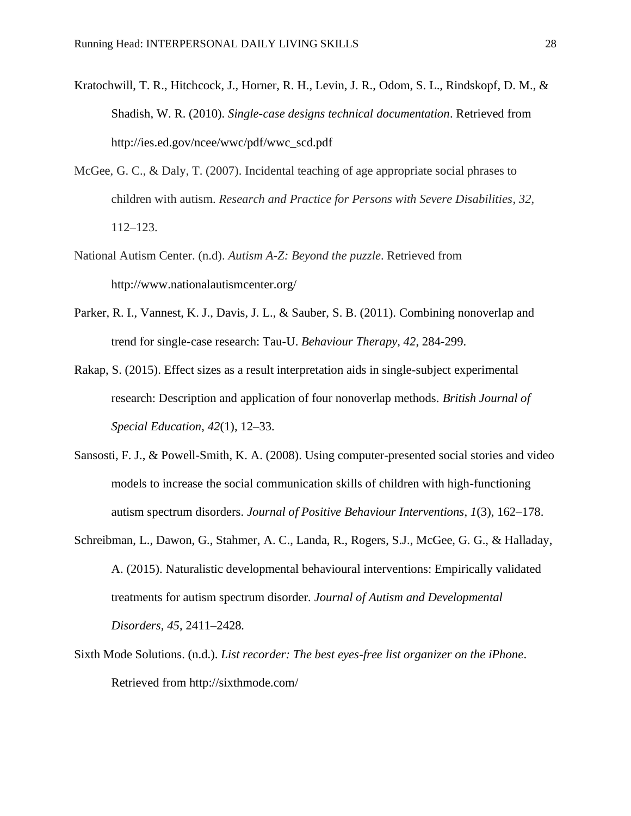- Kratochwill, T. R., Hitchcock, J., Horner, R. H., Levin, J. R., Odom, S. L., Rindskopf, D. M., & Shadish, W. R. (2010). *Single-case designs technical documentation*. Retrieved from http://ies.ed.gov/ncee/wwc/pdf/wwc\_scd.pdf
- McGee, G. C., & Daly, T. (2007). Incidental teaching of age appropriate social phrases to children with autism. *Research and Practice for Persons with Severe Disabilities*, *32,* 112–123.
- National Autism Center. (n.d). *Autism A-Z: Beyond the puzzle*. Retrieved from http://www.nationalautismcenter.org/
- Parker, R. I., Vannest, K. J., Davis, J. L., & Sauber, S. B. (2011). Combining nonoverlap and trend for single-case research: Tau-U. *Behaviour Therapy, 42*, 284-299.
- Rakap, S. (2015). Effect sizes as a result interpretation aids in single-subject experimental research: Description and application of four nonoverlap methods. *British Journal of Special Education*, *42*(1), 12–33.
- Sansosti, F. J., & Powell-Smith, K. A. (2008). Using computer-presented social stories and video models to increase the social communication skills of children with high-functioning autism spectrum disorders. *Journal of Positive Behaviour Interventions*, *1*(3), 162–178.
- Schreibman, L., Dawon, G., Stahmer, A. C., Landa, R., Rogers, S.J., McGee, G. G., & Halladay, A. (2015). Naturalistic developmental behavioural interventions: Empirically validated treatments for autism spectrum disorder. *Journal of Autism and Developmental Disorders, 45*, 2411–2428*.*
- Sixth Mode Solutions. (n.d.). *List recorder: The best eyes-free list organizer on the iPhone*. Retrieved from http://sixthmode.com/